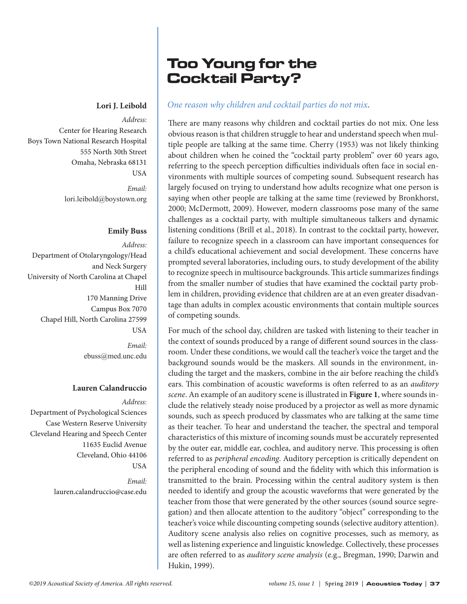*Address:*  Center for Hearing Research Boys Town National Research Hospital 555 North 30th Street Omaha, Nebraska 68131 USA

> *Email:* [lori.leibold@boystown.org](mailto:lori.leibold@boystown.org)

# **Emily Buss**

*Address:*  Department of Otolaryngology/Head and Neck Surgery University of North Carolina at Chapel Hill 170 Manning Drive Campus Box 7070 Chapel Hill, North Carolina 27599 USA *Email:* [ebuss@med.unc.edu](mailto:ebuss@med.unc.edu)

# **Lauren Calandruccio**

*Address:*  Department of Psychological Sciences Case Western Reserve University Cleveland Hearing and Speech Center 11635 Euclid Avenue Cleveland, Ohio 44106 **USA** 

> *Email:* lauren.calandruccio@case.edu

# Too Young for the Cocktail Party?

# **Lori J. Leibold** *One reason why children and cocktail parties do not mix.*

There are many reasons why children and cocktail parties do not mix. One less obvious reason is that children struggle to hear and understand speech when multiple people are talking at the same time. Cherry (1953) was not likely thinking about children when he coined the "cocktail party problem" over 60 years ago, referring to the speech perception difficulties individuals often face in social environments with multiple sources of competing sound. Subsequent research has largely focused on trying to understand how adults recognize what one person is saying when other people are talking at the same time (reviewed by Bronkhorst, 2000; McDermott, 2009). However, modern classrooms pose many of the same challenges as a cocktail party, with multiple simultaneous talkers and dynamic listening conditions (Brill et al., 2018). In contrast to the cocktail party, however, failure to recognize speech in a classroom can have important consequences for a child's educational achievement and social development. These concerns have prompted several laboratories, including ours, to study development of the ability to recognize speech in multisource backgrounds. This article summarizes findings from the smaller number of studies that have examined the cocktail party problem in children, providing evidence that children are at an even greater disadvantage than adults in complex acoustic environments that contain multiple sources of competing sounds.

For much of the school day, children are tasked with listening to their teacher in the context of sounds produced by a range of different sound sources in the classroom. Under these conditions, we would call the teacher's voice the target and the background sounds would be the maskers. All sounds in the environment, including the target and the maskers, combine in the air before reaching the child's ears. This combination of acoustic waveforms is often referred to as an *auditory scene*. An example of an auditory scene is illustrated in **Figure 1**, where sounds include the relatively steady noise produced by a projector as well as more dynamic sounds, such as speech produced by classmates who are talking at the same time as their teacher. To hear and understand the teacher, the spectral and temporal characteristics of this mixture of incoming sounds must be accurately represented by the outer ear, middle ear, cochlea, and auditory nerve. This processing is often referred to as *peripheral encoding*. Auditory perception is critically dependent on the peripheral encoding of sound and the fidelity with which this information is transmitted to the brain. Processing within the central auditory system is then needed to identify and group the acoustic waveforms that were generated by the teacher from those that were generated by the other sources (sound source segregation) and then allocate attention to the auditory "object" corresponding to the teacher's voice while discounting competing sounds (selective auditory attention). Auditory scene analysis also relies on cognitive processes, such as memory, as well as listening experience and linguistic knowledge. Collectively, these processes are often referred to as *auditory scene analysis* (e.g., Bregman, 1990; Darwin and Hukin, 1999).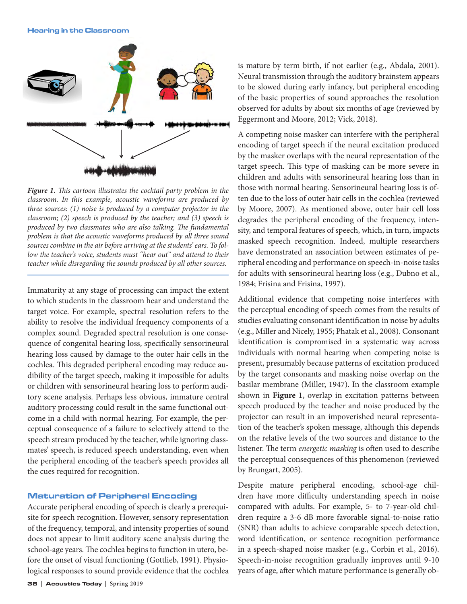

*Figure 1. This cartoon illustrates the cocktail party problem in the classroom. In this example, acoustic waveforms are produced by three sources: (1) noise is produced by a computer projector in the classroom; (2) speech is produced by the teacher; and (3) speech is produced by two classmates who are also talking. The fundamental problem is that the acoustic waveforms produced by all three sound sources combine in the air before arriving at the students' ears. To follow the teacher's voice, students must "hear out" and attend to their teacher while disregarding the sounds produced by all other sources.*

Immaturity at any stage of processing can impact the extent to which students in the classroom hear and understand the target voice. For example, spectral resolution refers to the ability to resolve the individual frequency components of a complex sound. Degraded spectral resolution is one consequence of congenital hearing loss, specifically sensorineural hearing loss caused by damage to the outer hair cells in the cochlea. This degraded peripheral encoding may reduce audibility of the target speech, making it impossible for adults or children with sensorineural hearing loss to perform auditory scene analysis. Perhaps less obvious, immature central auditory processing could result in the same functional outcome in a child with normal hearing. For example, the perceptual consequence of a failure to selectively attend to the speech stream produced by the teacher, while ignoring classmates' speech, is reduced speech understanding, even when the peripheral encoding of the teacher's speech provides all the cues required for recognition.

# Maturation of Peripheral Encoding

Accurate peripheral encoding of speech is clearly a prerequisite for speech recognition. However, sensory representation of the frequency, temporal, and intensity properties of sound does not appear to limit auditory scene analysis during the school-age years. The cochlea begins to function in utero, before the onset of visual functioning (Gottlieb, 1991). Physiological responses to sound provide evidence that the cochlea

is mature by term birth, if not earlier (e.g., Abdala, 2001). Neural transmission through the auditory brainstem appears to be slowed during early infancy, but peripheral encoding of the basic properties of sound approaches the resolution observed for adults by about six months of age (reviewed by Eggermont and Moore, 2012; Vick, 2018).

A competing noise masker can interfere with the peripheral encoding of target speech if the neural excitation produced by the masker overlaps with the neural representation of the target speech. This type of masking can be more severe in children and adults with sensorineural hearing loss than in those with normal hearing. Sensorineural hearing loss is often due to the loss of outer hair cells in the cochlea (reviewed by Moore, 2007). As mentioned above, outer hair cell loss degrades the peripheral encoding of the frequency, intensity, and temporal features of speech, which, in turn, impacts masked speech recognition. Indeed, multiple researchers have demonstrated an association between estimates of peripheral encoding and performance on speech-in-noise tasks for adults with sensorineural hearing loss (e.g., Dubno et al., 1984; Frisina and Frisina, 1997).

Additional evidence that competing noise interferes with the perceptual encoding of speech comes from the results of studies evaluating consonant identification in noise by adults (e.g., Miller and Nicely, 1955; Phatak et al., 2008). Consonant identification is compromised in a systematic way across individuals with normal hearing when competing noise is present, presumably because patterns of excitation produced by the target consonants and masking noise overlap on the basilar membrane (Miller, 1947). In the classroom example shown in **Figure 1**, overlap in excitation patterns between speech produced by the teacher and noise produced by the projector can result in an impoverished neural representation of the teacher's spoken message, although this depends on the relative levels of the two sources and distance to the listener. The term *energetic masking* is often used to describe the perceptual consequences of this phenomenon (reviewed by Brungart, 2005).

Despite mature peripheral encoding, school-age children have more difficulty understanding speech in noise compared with adults. For example, 5- to 7-year-old children require a 3-6 dB more favorable signal-to-noise ratio (SNR) than adults to achieve comparable speech detection, word identification, or sentence recognition performance in a speech-shaped noise masker (e.g., Corbin et al., 2016). Speech-in-noise recognition gradually improves until 9-10 years of age, after which mature performance is generally ob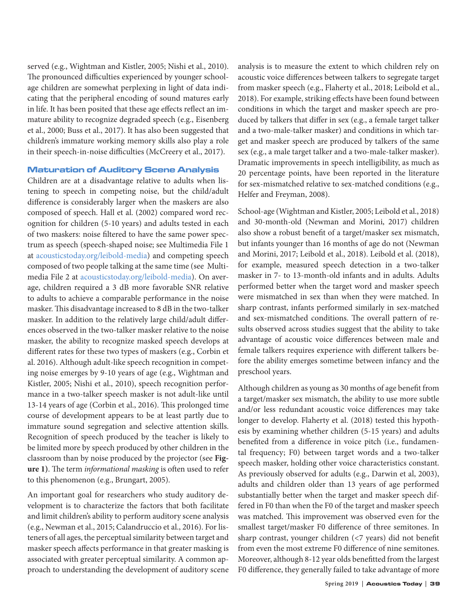served (e.g., Wightman and Kistler, 2005; Nishi et al., 2010). The pronounced difficulties experienced by younger schoolage children are somewhat perplexing in light of data indicating that the peripheral encoding of sound matures early in life. It has been posited that these age effects reflect an immature ability to recognize degraded speech (e.g., Eisenberg et al., 2000; Buss et al., 2017). It has also been suggested that children's immature working memory skills also play a role in their speech-in-noise difficulties (McCreery et al., 2017).

# Maturation of Auditory Scene Analysis

Children are at a disadvantage relative to adults when listening to speech in competing noise, but the child/adult difference is considerably larger when the maskers are also composed of speech. Hall et al. (2002) compared word recognition for children (5-10 years) and adults tested in each of two maskers: noise filtered to have the same power spectrum as speech (speech-shaped noise; see Multimedia File 1 at [acousticstoday.org/leibold-media\)](https://acousticstoday.org/leibold-media/) and competing speech composed of two people talking at the same time (see Multimedia File 2 at [acousticstoday.org/leibold-media\).](https://acousticstoday.org/leibold-media/) On average, children required a 3 dB more favorable SNR relative to adults to achieve a comparable performance in the noise masker. This disadvantage increased to 8 dB in the two-talker masker. In addition to the relatively large child/adult differences observed in the two-talker masker relative to the noise masker, the ability to recognize masked speech develops at different rates for these two types of maskers (e.g., Corbin et al. 2016). Although adult-like speech recognition in competing noise emerges by 9-10 years of age (e.g., Wightman and Kistler, 2005; Nishi et al., 2010), speech recognition performance in a two-talker speech masker is not adult-like until 13-14 years of age (Corbin et al., 2016). This prolonged time course of development appears to be at least partly due to immature sound segregation and selective attention skills. Recognition of speech produced by the teacher is likely to be limited more by speech produced by other children in the classroom than by noise produced by the projector (see **Figure 1)**. The term *informational masking* is often used to refer to this phenomenon (e.g., Brungart, 2005).

An important goal for researchers who study auditory development is to characterize the factors that both facilitate and limit children's ability to perform auditory scene analysis (e.g., Newman et al., 2015; Calandruccio et al., 2016). For listeners of all ages, the perceptual similarity between target and masker speech affects performance in that greater masking is associated with greater perceptual similarity. A common approach to understanding the development of auditory scene analysis is to measure the extent to which children rely on acoustic voice differences between talkers to segregate target from masker speech (e.g., Flaherty et al., 2018; Leibold et al., 2018). For example, striking effects have been found between conditions in which the target and masker speech are produced by talkers that differ in sex (e.g., a female target talker and a two-male-talker masker) and conditions in which target and masker speech are produced by talkers of the same sex (e.g., a male target talker and a two-male-talker masker). Dramatic improvements in speech intelligibility, as much as 20 percentage points, have been reported in the literature for sex-mismatched relative to sex-matched conditions (e.g., Helfer and Freyman, 2008).

School-age (Wightman and Kistler, 2005; Leibold et al., 2018) and 30-month-old (Newman and Morini, 2017) children also show a robust benefit of a target/masker sex mismatch, but infants younger than 16 months of age do not (Newman and Morini, 2017; Leibold et al., 2018). Leibold et al. (2018), for example, measured speech detection in a two-talker masker in 7- to 13-month-old infants and in adults. Adults performed better when the target word and masker speech were mismatched in sex than when they were matched. In sharp contrast, infants performed similarly in sex-matched and sex-mismatched conditions. The overall pattern of results observed across studies suggest that the ability to take advantage of acoustic voice differences between male and female talkers requires experience with different talkers before the ability emerges sometime between infancy and the preschool years.

Although children as young as 30 months of age benefit from a target/masker sex mismatch, the ability to use more subtle and/or less redundant acoustic voice differences may take longer to develop. Flaherty et al. (2018) tested this hypothesis by examining whether children (5-15 years) and adults benefited from a difference in voice pitch (i.e., fundamental frequency; F0) between target words and a two-talker speech masker, holding other voice characteristics constant. As previously observed for adults (e.g., Darwin et al, 2003), adults and children older than 13 years of age performed substantially better when the target and masker speech differed in F0 than when the F0 of the target and masker speech was matched. This improvement was observed even for the smallest target/masker F0 difference of three semitones. In sharp contrast, younger children (<7 years) did not benefit from even the most extreme F0 difference of nine semitones. Moreover, although 8-12 year olds benefitted from the largest F0 difference, they generally failed to take advantage of more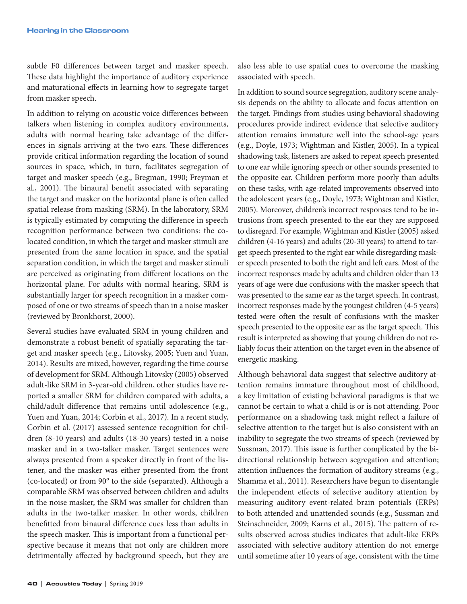subtle F0 differences between target and masker speech. These data highlight the importance of auditory experience and maturational effects in learning how to segregate target from masker speech.

In addition to relying on acoustic voice differences between talkers when listening in complex auditory environments, adults with normal hearing take advantage of the differences in signals arriving at the two ears. These differences provide critical information regarding the location of sound sources in space, which, in turn, facilitates segregation of target and masker speech (e.g., Bregman, 1990; Freyman et al., 2001). The binaural benefit associated with separating the target and masker on the horizontal plane is often called spatial release from masking (SRM). In the laboratory, SRM is typically estimated by computing the difference in speech recognition performance between two conditions: the colocated condition, in which the target and masker stimuli are presented from the same location in space, and the spatial separation condition, in which the target and masker stimuli are perceived as originating from different locations on the horizontal plane. For adults with normal hearing, SRM is substantially larger for speech recognition in a masker composed of one or two streams of speech than in a noise masker (reviewed by Bronkhorst, 2000).

Several studies have evaluated SRM in young children and demonstrate a robust benefit of spatially separating the target and masker speech (e.g., Litovsky, 2005; Yuen and Yuan, 2014). Results are mixed, however, regarding the time course of development for SRM. Although Litovsky (2005) observed adult-like SRM in 3-year-old children, other studies have reported a smaller SRM for children compared with adults, a child/adult difference that remains until adolescence (e.g., Yuen and Yuan, 2014; Corbin et al., 2017). In a recent study, Corbin et al. (2017) assessed sentence recognition for children (8-10 years) and adults (18-30 years) tested in a noise masker and in a two-talker masker. Target sentences were always presented from a speaker directly in front of the listener, and the masker was either presented from the front (co-located) or from 90° to the side (separated). Although a comparable SRM was observed between children and adults in the noise masker, the SRM was smaller for children than adults in the two-talker masker. In other words, children benefitted from binaural difference cues less than adults in the speech masker. This is important from a functional perspective because it means that not only are children more detrimentally affected by background speech, but they are

also less able to use spatial cues to overcome the masking associated with speech.

In addition to sound source segregation, auditory scene analysis depends on the ability to allocate and focus attention on the target. Findings from studies using behavioral shadowing procedures provide indirect evidence that selective auditory attention remains immature well into the school-age years (e.g., Doyle, 1973; Wightman and Kistler, 2005). In a typical shadowing task, listeners are asked to repeat speech presented to one ear while ignoring speech or other sounds presented to the opposite ear. Children perform more poorly than adults on these tasks, with age-related improvements observed into the adolescent years (e.g., Doyle, 1973; Wightman and Kistler, 2005). Moreover, children's incorrect responses tend to be intrusions from speech presented to the ear they are supposed to disregard. For example, Wightman and Kistler (2005) asked children (4-16 years) and adults (20-30 years) to attend to target speech presented to the right ear while disregarding masker speech presented to both the right and left ears. Most of the incorrect responses made by adults and children older than 13 years of age were due confusions with the masker speech that was presented to the same ear as the target speech. In contrast, incorrect responses made by the youngest children (4-5 years) tested were often the result of confusions with the masker speech presented to the opposite ear as the target speech. This result is interpreted as showing that young children do not reliably focus their attention on the target even in the absence of energetic masking.

Although behavioral data suggest that selective auditory attention remains immature throughout most of childhood, a key limitation of existing behavioral paradigms is that we cannot be certain to what a child is or is not attending. Poor performance on a shadowing task might reflect a failure of selective attention to the target but is also consistent with an inability to segregate the two streams of speech (reviewed by Sussman, 2017). This issue is further complicated by the bidirectional relationship between segregation and attention; attention influences the formation of auditory streams (e.g., Shamma et al., 2011). Researchers have begun to disentangle the independent effects of selective auditory attention by measuring auditory event-related brain potentials (ERPs) to both attended and unattended sounds (e.g., Sussman and Steinschneider, 2009; Karns et al., 2015). The pattern of results observed across studies indicates that adult-like ERPs associated with selective auditory attention do not emerge until sometime after 10 years of age, consistent with the time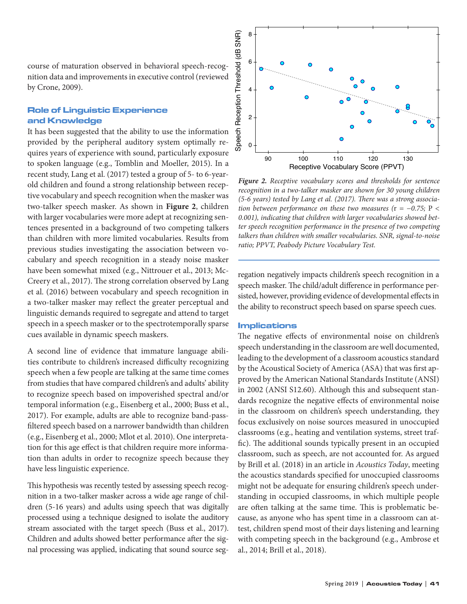course of maturation observed in behavioral speech-recognition data and improvements in executive control (reviewed by Crone, 2009).

# Role of Linguistic Experience and Knowledge

It has been suggested that the ability to use the information provided by the peripheral auditory system optimally requires years of experience with sound, particularly exposure to spoken language (e.g., Tomblin and Moeller, 2015). In a recent study, Lang et al. (2017) tested a group of 5- to 6-yearold children and found a strong relationship between receptive vocabulary and speech recognition when the masker was two-talker speech masker. As shown in **Figure 2**, children with larger vocabularies were more adept at recognizing sentences presented in a background of two competing talkers than children with more limited vocabularies. Results from previous studies investigating the association between vocabulary and speech recognition in a steady noise masker have been somewhat mixed (e.g., Nittrouer et al., 2013; Mc-Creery et al., 2017). The strong correlation observed by Lang et al. (2016) between vocabulary and speech recognition in a two-talker masker may reflect the greater perceptual and linguistic demands required to segregate and attend to target speech in a speech masker or to the spectrotemporally sparse cues available in dynamic speech maskers.

A second line of evidence that immature language abilities contribute to children's increased difficulty recognizing speech when a few people are talking at the same time comes from studies that have compared children's and adults' ability to recognize speech based on impoverished spectral and/or temporal information (e.g., Eisenberg et al., 2000; Buss et al., 2017). For example, adults are able to recognize band-passfiltered speech based on a narrower bandwidth than children (e.g., Eisenberg et al., 2000; Mlot et al. 2010). One interpretation for this age effect is that children require more information than adults in order to recognize speech because they have less linguistic experience.

This hypothesis was recently tested by assessing speech recognition in a two-talker masker across a wide age range of children (5-16 years) and adults using speech that was digitally processed using a technique designed to isolate the auditory stream associated with the target speech (Buss et al., 2017). Children and adults showed better performance after the signal processing was applied, indicating that sound source seg-



*Figure 2. Receptive vocabulary scores and thresholds for sentence recognition in a two-talker masker are shown for 30 young children (5-6 years) tested by Lang et al. (2017). There was a strong association between performance on these two measures (*r *= −0.75;* P *< 0.001), indicating that children with larger vocabularies showed better speech recognition performance in the presence of two competing talkers than children with smaller vocabularies. SNR, signal-to-noise ratio; PPVT, Peabody Picture Vocabulary Test.* 

regation negatively impacts children's speech recognition in a speech masker. The child/adult difference in performance persisted, however, providing evidence of developmental effects in the ability to reconstruct speech based on sparse speech cues.

# Implications

The negative effects of environmental noise on children's speech understanding in the classroom are well documented, leading to the development of a classroom acoustics standard by the Acoustical Society of America (ASA) that was first approved by the American National Standards Institute (ANSI) in 2002 (ANSI S12.60). Although this and subsequent standards recognize the negative effects of environmental noise in the classroom on children's speech understanding, they focus exclusively on noise sources measured in unoccupied classrooms (e.g., heating and ventilation systems, street traffic). The additional sounds typically present in an occupied classroom, such as speech, are not accounted for. As argued by Brill et al. (2018) in an article in *Acoustics Today*, meeting the acoustics standards specified for unoccupied classrooms might not be adequate for ensuring children's speech understanding in occupied classrooms, in which multiple people are often talking at the same time. This is problematic because, as anyone who has spent time in a classroom can attest, children spend most of their days listening and learning with competing speech in the background (e.g., Ambrose et al., 2014; Brill et al., 2018).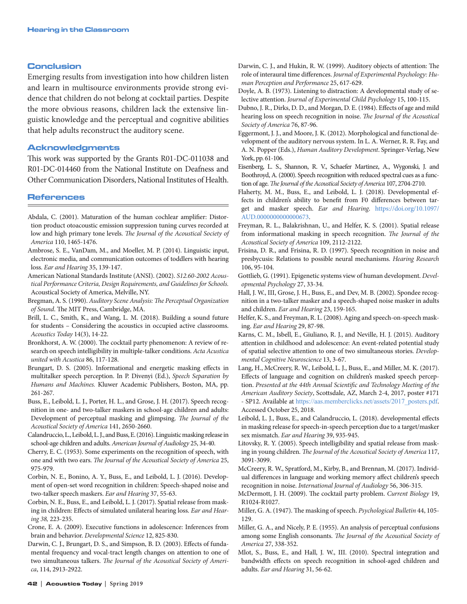#### Conclusion

Emerging results from investigation into how children listen and learn in multisource environments provide strong evidence that children do not belong at cocktail parties. Despite the more obvious reasons, children lack the extensive linguistic knowledge and the perceptual and cognitive abilities that help adults reconstruct the auditory scene.

#### Acknowledgments

This work was supported by the Grants R01-DC-011038 and R01-DC-014460 from the [National Institute on Deafness and](https://www.nidcd.nih.gov/)  [Other Communication Disorders](https://www.nidcd.nih.gov/), National Institutes of Health.

#### References

- Abdala, C. (2001). Maturation of the human cochlear amplifier: Distortion product otoacoustic emission suppression tuning curves recorded at low and high primary tone levels. *The Journal of the Acoustical Society of America* 110, 1465-1476.
- Ambrose, S. E., VanDam, M., and Moeller, M. P. (2014). Linguistic input, electronic media, and communication outcomes of toddlers with hearing loss. *Ear and Hearing* 35, 139-147.
- American National Standards Institute (ANSI). (2002). *S12.60-2002 Acoustical Performance Criteria, Design Requirements, and Guidelines for Schools.* Acoustical Society of America, Melville, NY.
- Bregman, A. S. (1990). *Auditory Scene Analysis: The Perceptual Organization of Sound*. The MIT Press, Cambridge, MA.
- Brill, L. C., Smith, K., and Wang, L. M. (2018). Building a sound future for students – Considering the acoustics in occupied active classrooms. *Acoustics Today* 14(3), 14-22.
- Bronkhorst, A. W. (2000). The cocktail party phenomenon: A review of research on speech intelligibility in multiple-talker conditions. *Acta Acustica united with Acustica* 86, 117-128.
- Brungart, D. S. (2005). Informational and energetic masking effects in multitalker speech perception. In P. Divenyi (Ed.), *Speech Separation by Humans and Machines.* Kluwer Academic Publishers, Boston, MA, pp. 261-267.
- Buss, E., Leibold, L. J., Porter, H. L., and Grose, J. H. (2017). Speech recognition in one- and two-talker maskers in school-age children and adults: Development of perceptual masking and glimpsing. *The Journal of the Acoustical Society of America* 141, 2650-2660.
- Calandruccio, L., Leibold, L. J., and Buss, E. (2016). Linguistic masking release in school-age children and adults. *American Journal of Audiology* 25, 34-40.
- Cherry, E. C. (1953). Some experiments on the recognition of speech, with one and with two ears. *The Journal of the Acoustical Society of America* 25, 975-979.
- Corbin, N. E., Bonino, A. Y., Buss, E., and Leibold, L. J. (2016). Development of open-set word recognition in children: Speech-shaped noise and two-talker speech maskers. *Ear and Hearing* 37, 55-63.
- Corbin, N. E., Buss, E., and Leibold, L. J. (2017). Spatial release from masking in children: Effects of simulated unilateral hearing loss. *Ear and Hearing 38,* 223-235.
- Crone, E. A. (2009). Executive functions in adolescence: Inferences from brain and behavior. *Developmental Science* 12, 825-830.
- Darwin, C. J., Brungart, D. S., and Simpson, B. D. (2003). Effects of fundamental frequency and vocal-tract length changes on attention to one of two simultaneous talkers. *The Journal of the Acoustical Society of America*, 114, 2913-2922.

Darwin, C. J., and Hukin, R. W. (1999). Auditory objects of attention: The role of interaural time differences. *Journal of Experimental Psychology: Human Perception and Performance* 25, 617-629.

Doyle, A. B. (1973). Listening to distraction: A developmental study of selective attention. *Journal of Experimental Child Psychology* 15, 100-115.

- Dubno, J. R., Dirks, D. D., and Morgan, D. E. (1984). Effects of age and mild hearing loss on speech recognition in noise. *The Journal of the Acoustical Society of America* 76, 87-96.
- Eggermont, J. J., and Moore, J. K. (2012). Morphological and functional development of the auditory nervous system. In L. A. Werner, R. R. Fay, and A. N. Popper (Eds.), *Human Auditory Development*. Springer-Verlag, New York, pp. 61-106.
- Eisenberg, L. S., Shannon, R. V., Schaefer Martinez, A., Wygonski, J. and Boothroyd, A. (2000). Speech recognition with reduced spectral cues as a function of age. *The Journal of the Acoustical Society of America* 107, 2704-2710.
- Flaherty, M. M., Buss, E., and Leibold, L. J. (2018). Developmental effects in children's ability to benefit from F0 differences between target and masker speech. *Ear and Hearing*. [https://doi.org/10.1097/](https://insights.ovid.com/crossref?an=00003446-900000000-98864) [AUD.0000000000000673.](https://insights.ovid.com/crossref?an=00003446-900000000-98864)
- Freyman, R. L., Balakrishnan, U., and Helfer, K. S. (2001). Spatial release from informational masking in speech recognition. *The Journal of the Acoustical Society of America* 109, 2112-2122.
- Frisina, D. R., and Frisina, R. D. (1997). Speech recognition in noise and presbycusis: Relations to possible neural mechanisms. *Hearing Research* 106, 95-104.
- Gottlieb, G. (1991). Epigenetic systems view of human development. *Developmental Psychology* 27, 33-34.
- Hall, J. W., III, Grose, J. H., Buss, E., and Dev, M. B. (2002). Spondee recognition in a two-talker masker and a speech-shaped noise masker in adults and children. *Ear and Hearing* 23, 159-165.
- Helfer, K. S., and Freyman, R. L. (2008). Aging and speech-on-speech masking. *Ear and Hearing* 29, 87-98.
- Karns, C. M., Isbell, E., Giuliano, R. J., and Neville, H. J. (2015). Auditory attention in childhood and adolescence: An event-related potential study of spatial selective attention to one of two simultaneous stories. *Developmental Cognitive Neuroscience* 13, 3-67.
- Lang, H., McCreery, R. W., Leibold, L. J., Buss, E., and Miller, M. K. (2017). Effects of language and cognition on children's masked speech perception. *Presented at the 44th Annual Scientific and Technology Meeting of the American Auditory Society*, Scottsdale, AZ, March 2-4, 2017, poster #171 - SP12. Available at [https://aas.memberclicks.net/assets/2017\\_posters.pdf](https://aas.memberclicks.net/assets/2017_posters.pdf). Accessed October 25, 2018.
- Leibold, L. J., Buss, E., and Calandruccio, L. (2018). developmental effects in masking release for speech-in-speech perception due to a target/masker sex mismatch. *Ear and Hearing* 39, 935-945.
- Litovsky, R. Y. (2005). Speech intelligibility and spatial release from masking in young children. *The Journal of the Acoustical Society of America* 117, 3091-3099.
- McCreery, R. W., Spratford, M., Kirby, B., and Brennan, M. (2017). Individual differences in language and working memory affect children's speech recognition in noise. *International Journal of Audiology* 56, 306-315.
- McDermott, J. H. (2009). The cocktail party problem. *Current Biology* 19, R1024-R1027.
- Miller, G. A. (1947). The masking of speech. *Psychological Bulletin* 44, 105- 129.
- Miller, G. A., and Nicely, P. E. (1955). An analysis of perceptual confusions among some English consonants. *The Journal of the Acoustical Society of America* 27, 338-352.
- Mlot, S., Buss, E., and Hall, J. W., III. (2010). Spectral integration and bandwidth effects on speech recognition in school-aged children and adults. *Ear and Hearing* 31, 56-62.